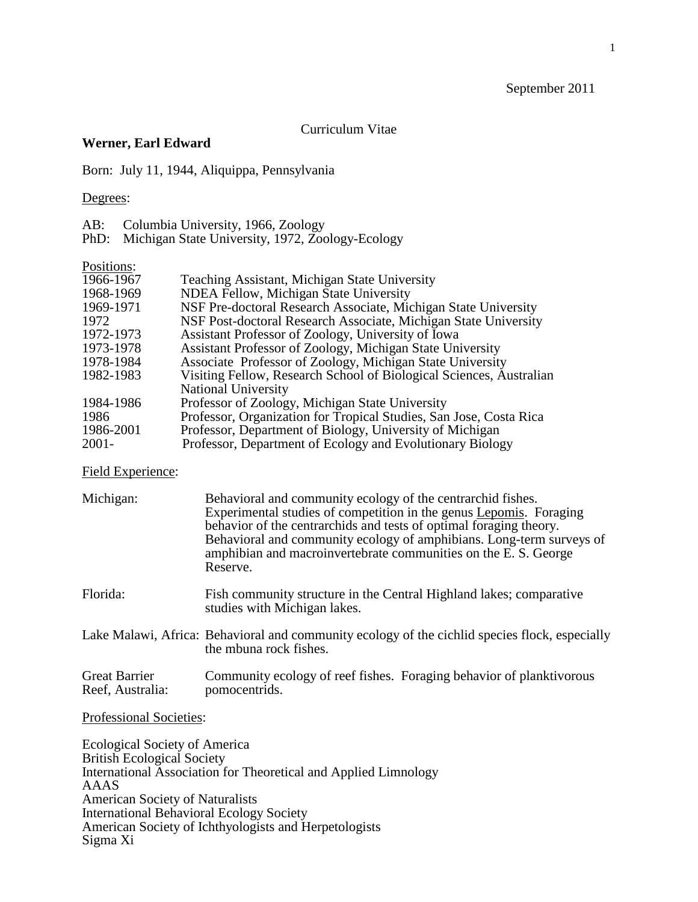# September 2011

# Curriculum Vitae

## **Werner, Earl Edward**

Born: July 11, 1944, Aliquippa, Pennsylvania

## Degrees:

AB: Columbia University, 1966, Zoology

PhD: Michigan State University, 1972, Zoology-Ecology

#### Positions:

| 1966-1967 | Teaching Assistant, Michigan State University                       |
|-----------|---------------------------------------------------------------------|
| 1968-1969 | NDEA Fellow, Michigan State University                              |
| 1969-1971 | NSF Pre-doctoral Research Associate, Michigan State University      |
| 1972      | NSF Post-doctoral Research Associate, Michigan State University     |
| 1972-1973 | Assistant Professor of Zoology, University of Iowa                  |
| 1973-1978 | Assistant Professor of Zoology, Michigan State University           |
| 1978-1984 | Associate Professor of Zoology, Michigan State University           |
| 1982-1983 | Visiting Fellow, Research School of Biological Sciences, Australian |
|           | National University                                                 |
| 1984-1986 | Professor of Zoology, Michigan State University                     |
| 1986      | Professor, Organization for Tropical Studies, San Jose, Costa Rica  |
| 1986-2001 | Professor, Department of Biology, University of Michigan            |
| $2001 -$  | Professor, Department of Ecology and Evolutionary Biology           |

# Field Experience:

| Michigan:                                | Behavioral and community ecology of the centrarchid fishes.<br>Experimental studies of competition in the genus Lepomis. Foraging<br>behavior of the centrarchids and tests of optimal foraging theory.<br>Behavioral and community ecology of amphibians. Long-term surveys of<br>amphibian and macroinvertebrate communities on the E.S. George<br>Reserve. |
|------------------------------------------|---------------------------------------------------------------------------------------------------------------------------------------------------------------------------------------------------------------------------------------------------------------------------------------------------------------------------------------------------------------|
| Florida:                                 | Fish community structure in the Central Highland lakes; comparative<br>studies with Michigan lakes.                                                                                                                                                                                                                                                           |
|                                          | Lake Malawi, Africa: Behavioral and community ecology of the cichlid species flock, especially<br>the mbuna rock fishes.                                                                                                                                                                                                                                      |
| <b>Great Barrier</b><br>Reef, Australia: | Community ecology of reef fishes. Foraging behavior of planktivorous<br>pomocentrids.                                                                                                                                                                                                                                                                         |

# Professional Societies:

Ecological Society of America British Ecological Society International Association for Theoretical and Applied Limnology AAAS American Society of Naturalists International Behavioral Ecology Society American Society of Ichthyologists and Herpetologists Sigma Xi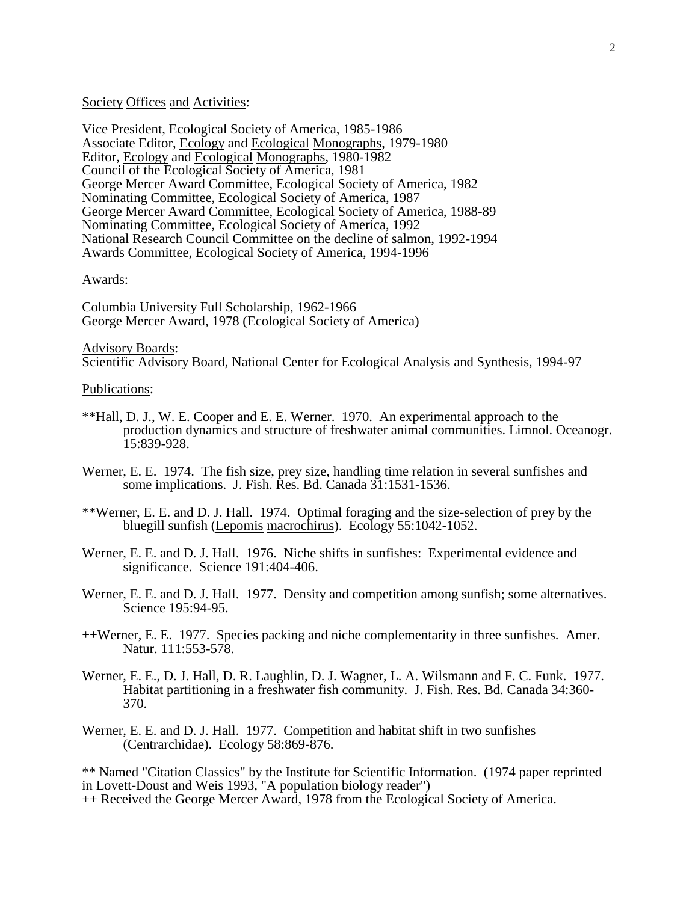## Society Offices and Activities:

Vice President, Ecological Society of America, 1985-1986 Associate Editor, Ecology and Ecological Monographs, 1979-1980 Editor, Ecology and Ecological Monographs, 1980-1982 Council of the Ecological Society of America, 1981 George Mercer Award Committee, Ecological Society of America, 1982 Nominating Committee, Ecological Society of America, 1987 George Mercer Award Committee, Ecological Society of America, 1988-89 Nominating Committee, Ecological Society of America, 1992 National Research Council Committee on the decline of salmon, 1992-1994 Awards Committee, Ecological Society of America, 1994-1996

#### Awards:

Columbia University Full Scholarship, 1962-1966 George Mercer Award, 1978 (Ecological Society of America)

# Advisory Boards:

Scientific Advisory Board, National Center for Ecological Analysis and Synthesis, 1994-97

#### Publications:

- \*\*Hall, D. J., W. E. Cooper and E. E. Werner. 1970. An experimental approach to the production dynamics and structure of freshwater animal communities. Limnol. Oceanogr. 15:839-928.
- Werner, E. E. 1974. The fish size, prey size, handling time relation in several sunfishes and some implications. J. Fish. Res. Bd. Canada 31:1531-1536.
- \*\*Werner, E. E. and D. J. Hall. 1974. Optimal foraging and the size-selection of prey by the bluegill sunfish (Lepomis macrochirus). Ecology 55:1042-1052.
- Werner, E. E. and D. J. Hall. 1976. Niche shifts in sunfishes: Experimental evidence and significance. Science 191:404-406.
- Werner, E. E. and D. J. Hall. 1977. Density and competition among sunfish; some alternatives. Science 195:94-95.
- ++Werner, E. E. 1977. Species packing and niche complementarity in three sunfishes. Amer. Natur. 111:553-578.
- Werner, E. E., D. J. Hall, D. R. Laughlin, D. J. Wagner, L. A. Wilsmann and F. C. Funk. 1977. Habitat partitioning in a freshwater fish community. J. Fish. Res. Bd. Canada 34:360- 370.
- Werner, E. E. and D. J. Hall. 1977. Competition and habitat shift in two sunfishes (Centrarchidae). Ecology 58:869-876.

\*\* Named "Citation Classics" by the Institute for Scientific Information. (1974 paper reprinted in Lovett-Doust and Weis 1993, "A population biology reader") ++ Received the George Mercer Award, 1978 from the Ecological Society of America.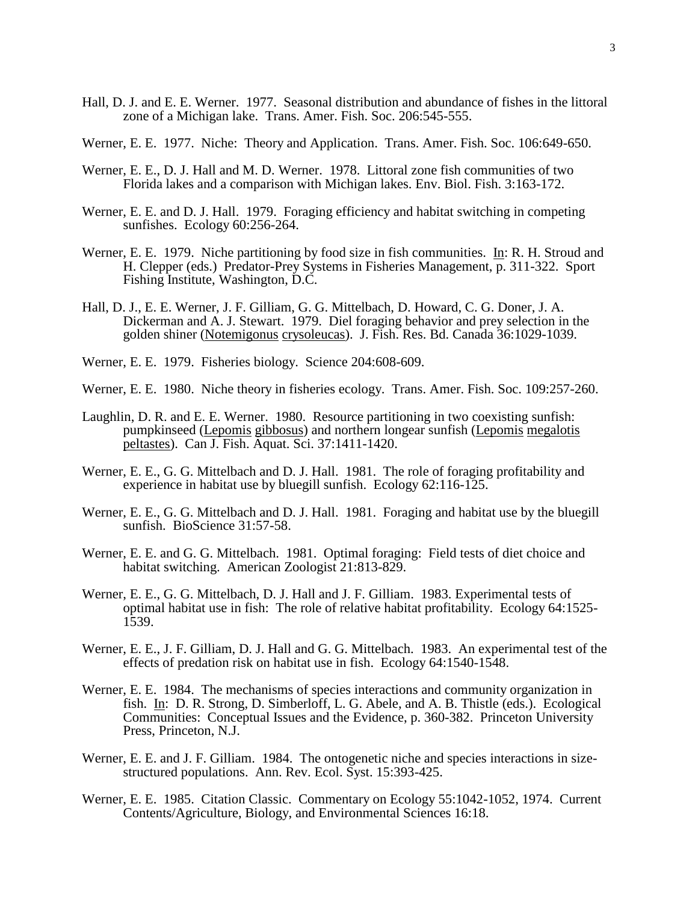- Hall, D. J. and E. E. Werner. 1977. Seasonal distribution and abundance of fishes in the littoral zone of a Michigan lake. Trans. Amer. Fish. Soc. 206:545-555.
- Werner, E. E. 1977. Niche: Theory and Application. Trans. Amer. Fish. Soc. 106:649-650.
- Werner, E. E., D. J. Hall and M. D. Werner. 1978. Littoral zone fish communities of two Florida lakes and a comparison with Michigan lakes. Env. Biol. Fish. 3:163-172.
- Werner, E. E. and D. J. Hall. 1979. Foraging efficiency and habitat switching in competing sunfishes. Ecology 60:256-264.
- Werner, E. E. 1979. Niche partitioning by food size in fish communities. In: R. H. Stroud and H. Clepper (eds.) Predator-Prey Systems in Fisheries Management, p. 311-322. Sport Fishing Institute, Washington, D.C.
- Hall, D. J., E. E. Werner, J. F. Gilliam, G. G. Mittelbach, D. Howard, C. G. Doner, J. A. Dickerman and A. J. Stewart. 1979. Diel foraging behavior and prey selection in the golden shiner (Notemigonus crysoleucas). J. Fish. Res. Bd. Canada 36:1029-1039.
- Werner, E. E. 1979. Fisheries biology. Science 204:608-609.
- Werner, E. E. 1980. Niche theory in fisheries ecology. Trans. Amer. Fish. Soc. 109:257-260.
- Laughlin, D. R. and E. E. Werner. 1980. Resource partitioning in two coexisting sunfish: pumpkinseed (Lepomis gibbosus) and northern longear sunfish (Lepomis megalotis peltastes). Can J. Fish. Aquat. Sci. 37:1411-1420.
- Werner, E. E., G. G. Mittelbach and D. J. Hall. 1981. The role of foraging profitability and experience in habitat use by bluegill sunfish. Ecology 62:116-125.
- Werner, E. E., G. G. Mittelbach and D. J. Hall. 1981. Foraging and habitat use by the bluegill sunfish. BioScience 31:57-58.
- Werner, E. E. and G. G. Mittelbach. 1981. Optimal foraging: Field tests of diet choice and habitat switching. American Zoologist 21:813-829.
- Werner, E. E., G. G. Mittelbach, D. J. Hall and J. F. Gilliam. 1983. Experimental tests of optimal habitat use in fish: The role of relative habitat profitability. Ecology 64:1525- 1539.
- Werner, E. E., J. F. Gilliam, D. J. Hall and G. G. Mittelbach. 1983. An experimental test of the effects of predation risk on habitat use in fish. Ecology 64:1540-1548.
- Werner, E. E. 1984. The mechanisms of species interactions and community organization in fish. In: D. R. Strong, D. Simberloff, L. G. Abele, and A. B. Thistle (eds.). Ecological Communities: Conceptual Issues and the Evidence, p. 360-382. Princeton University Press, Princeton, N.J.
- Werner, E. E. and J. F. Gilliam. 1984. The ontogenetic niche and species interactions in sizestructured populations. Ann. Rev. Ecol. Syst. 15:393-425.
- Werner, E. E. 1985. Citation Classic. Commentary on Ecology 55:1042-1052, 1974. Current Contents/Agriculture, Biology, and Environmental Sciences 16:18.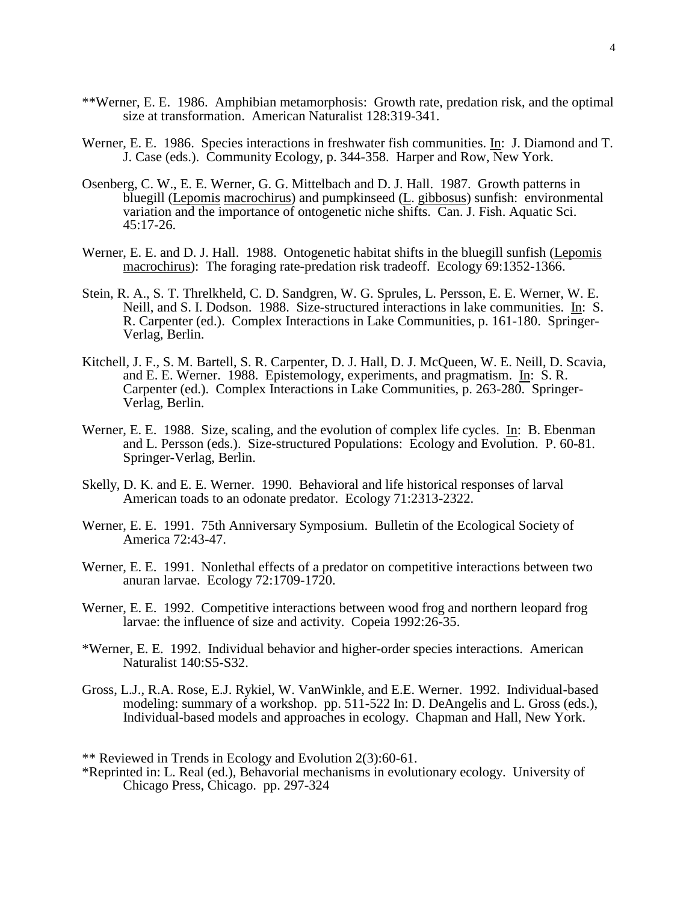- \*\*Werner, E. E. 1986. Amphibian metamorphosis: Growth rate, predation risk, and the optimal size at transformation. American Naturalist 128:319-341.
- Werner, E. E. 1986. Species interactions in freshwater fish communities. In: J. Diamond and T. J. Case (eds.). Community Ecology, p. 344-358. Harper and Row, New York.
- Osenberg, C. W., E. E. Werner, G. G. Mittelbach and D. J. Hall. 1987. Growth patterns in bluegill (Lepomis macrochirus) and pumpkinseed (L. gibbosus) sunfish: environmental variation and the importance of ontogenetic niche shifts. Can. J. Fish. Aquatic Sci. 45:17-26.
- Werner, E. E. and D. J. Hall. 1988. Ontogenetic habitat shifts in the bluegill sunfish (Lepomis macrochirus): The foraging rate-predation risk tradeoff. Ecology 69:1352-1366.
- Stein, R. A., S. T. Threlkheld, C. D. Sandgren, W. G. Sprules, L. Persson, E. E. Werner, W. E. Neill, and S. I. Dodson. 1988. Size-structured interactions in lake communities. In: S. R. Carpenter (ed.). Complex Interactions in Lake Communities, p. 161-180. Springer-Verlag, Berlin.
- Kitchell, J. F., S. M. Bartell, S. R. Carpenter, D. J. Hall, D. J. McQueen, W. E. Neill, D. Scavia, and E. E. Werner. 1988. Epistemology, experiments, and pragmatism. In: S. R. Carpenter (ed.). Complex Interactions in Lake Communities, p. 263-280. Springer-Verlag, Berlin.
- Werner, E. E. 1988. Size, scaling, and the evolution of complex life cycles. In: B. Ebenman and L. Persson (eds.). Size-structured Populations: Ecology and Evolution. P. 60-81. Springer-Verlag, Berlin.
- Skelly, D. K. and E. E. Werner. 1990. Behavioral and life historical responses of larval American toads to an odonate predator. Ecology 71:2313-2322.
- Werner, E. E. 1991. 75th Anniversary Symposium. Bulletin of the Ecological Society of America 72:43-47.
- Werner, E. E. 1991. Nonlethal effects of a predator on competitive interactions between two anuran larvae. Ecology 72:1709-1720.
- Werner, E. E. 1992. Competitive interactions between wood frog and northern leopard frog larvae: the influence of size and activity. Copeia 1992:26-35.
- \*Werner, E. E. 1992. Individual behavior and higher-order species interactions. American Naturalist 140:S5-S32.
- Gross, L.J., R.A. Rose, E.J. Rykiel, W. VanWinkle, and E.E. Werner. 1992. Individual-based modeling: summary of a workshop. pp. 511-522 In: D. DeAngelis and L. Gross (eds.), Individual-based models and approaches in ecology. Chapman and Hall, New York.

\*\* Reviewed in Trends in Ecology and Evolution 2(3):60-61.

\*Reprinted in: L. Real (ed.), Behavorial mechanisms in evolutionary ecology. University of Chicago Press, Chicago. pp. 297-324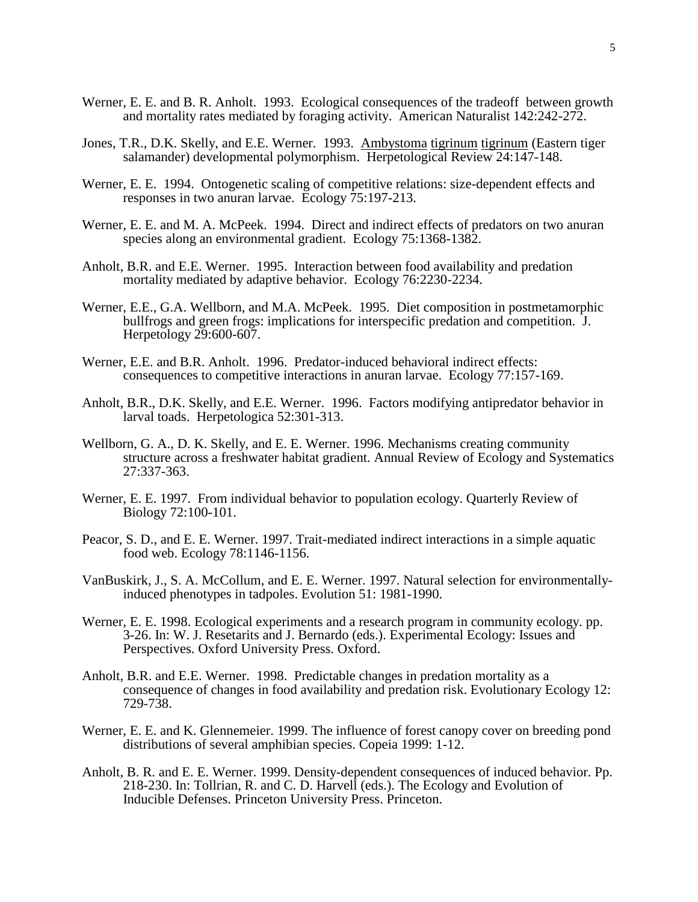- Werner, E. E. and B. R. Anholt. 1993. Ecological consequences of the tradeoff between growth and mortality rates mediated by foraging activity. American Naturalist 142:242-272.
- Jones, T.R., D.K. Skelly, and E.E. Werner. 1993. Ambystoma tigrinum tigrinum (Eastern tiger salamander) developmental polymorphism. Herpetological Review 24:147-148.
- Werner, E. E. 1994. Ontogenetic scaling of competitive relations: size-dependent effects and responses in two anuran larvae. Ecology 75:197-213.
- Werner, E. E. and M. A. McPeek. 1994. Direct and indirect effects of predators on two anuran species along an environmental gradient. Ecology 75:1368-1382.
- Anholt, B.R. and E.E. Werner. 1995. Interaction between food availability and predation mortality mediated by adaptive behavior. Ecology 76:2230-2234.
- Werner, E.E., G.A. Wellborn, and M.A. McPeek. 1995. Diet composition in postmetamorphic bullfrogs and green frogs: implications for interspecific predation and competition. J. Herpetology 29:600-607.
- Werner, E.E. and B.R. Anholt. 1996. Predator-induced behavioral indirect effects: consequences to competitive interactions in anuran larvae. Ecology 77:157-169.
- Anholt, B.R., D.K. Skelly, and E.E. Werner. 1996. Factors modifying antipredator behavior in larval toads. Herpetologica 52:301-313.
- Wellborn, G. A., D. K. Skelly, and E. E. Werner. 1996. Mechanisms creating community structure across a freshwater habitat gradient. Annual Review of Ecology and Systematics 27:337-363.
- Werner, E. E. 1997. From individual behavior to population ecology. Quarterly Review of Biology 72:100-101.
- Peacor, S. D., and E. E. Werner. 1997. Trait-mediated indirect interactions in a simple aquatic food web. Ecology 78:1146-1156.
- VanBuskirk, J., S. A. McCollum, and E. E. Werner. 1997. Natural selection for environmentallyinduced phenotypes in tadpoles. Evolution 51: 1981-1990.
- Werner, E. E. 1998. Ecological experiments and a research program in community ecology. pp. 3-26. In: W. J. Resetarits and J. Bernardo (eds.). Experimental Ecology: Issues and Perspectives. Oxford University Press. Oxford.
- Anholt, B.R. and E.E. Werner. 1998. Predictable changes in predation mortality as a consequence of changes in food availability and predation risk. Evolutionary Ecology 12: 729-738.
- Werner, E. E. and K. Glennemeier. 1999. The influence of forest canopy cover on breeding pond distributions of several amphibian species. Copeia 1999: 1-12.
- Anholt, B. R. and E. E. Werner. 1999. Density-dependent consequences of induced behavior. Pp. 218-230. In: Tollrian, R. and C. D. Harvell (eds.). The Ecology and Evolution of Inducible Defenses. Princeton University Press. Princeton.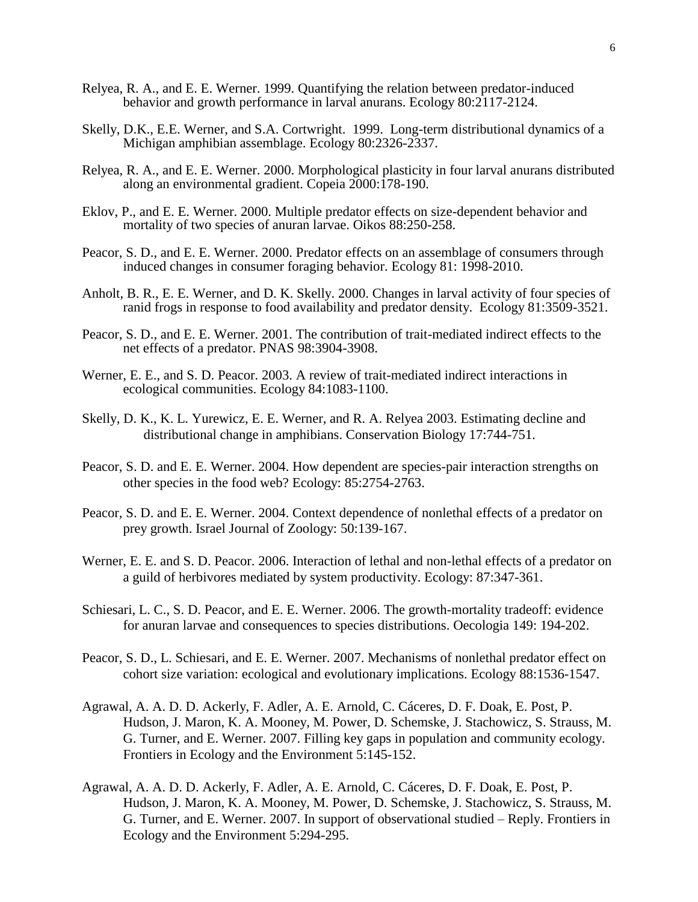- Relyea, R. A., and E. E. Werner. 1999. Quantifying the relation between predator-induced behavior and growth performance in larval anurans. Ecology 80:2117-2124.
- Skelly, D.K., E.E. Werner, and S.A. Cortwright. 1999. Long-term distributional dynamics of a Michigan amphibian assemblage. Ecology 80:2326-2337.
- Relyea, R. A., and E. E. Werner. 2000. Morphological plasticity in four larval anurans distributed along an environmental gradient. Copeia 2000:178-190.
- Eklov, P., and E. E. Werner. 2000. Multiple predator effects on size-dependent behavior and mortality of two species of anuran larvae. Oikos 88:250-258.
- Peacor, S. D., and E. E. Werner. 2000. Predator effects on an assemblage of consumers through induced changes in consumer foraging behavior. Ecology 81: 1998-2010.
- Anholt, B. R., E. E. Werner, and D. K. Skelly. 2000. Changes in larval activity of four species of ranid frogs in response to food availability and predator density. Ecology 81:3509-3521.
- Peacor, S. D., and E. E. Werner. 2001. The contribution of trait-mediated indirect effects to the net effects of a predator. PNAS 98:3904-3908.
- Werner, E. E., and S. D. Peacor. 2003. A review of trait-mediated indirect interactions in ecological communities. Ecology 84:1083-1100.
- Skelly, D. K., K. L. Yurewicz, E. E. Werner, and R. A. Relyea 2003. Estimating decline and distributional change in amphibians. Conservation Biology 17:744-751.
- Peacor, S. D. and E. E. Werner. 2004. How dependent are species-pair interaction strengths on other species in the food web? Ecology: 85:2754-2763.
- Peacor, S. D. and E. E. Werner. 2004. Context dependence of nonlethal effects of a predator on prey growth. Israel Journal of Zoology: 50:139-167.
- Werner, E. E. and S. D. Peacor. 2006. Interaction of lethal and non-lethal effects of a predator on a guild of herbivores mediated by system productivity. Ecology: 87:347-361.
- Schiesari, L. C., S. D. Peacor, and E. E. Werner. 2006. The growth-mortality tradeoff: evidence for anuran larvae and consequences to species distributions. Oecologia 149: 194-202.
- Peacor, S. D., L. Schiesari, and E. E. Werner. 2007. Mechanisms of nonlethal predator effect on cohort size variation: ecological and evolutionary implications. Ecology 88:1536-1547.
- Agrawal, A. A. D. D. Ackerly, F. Adler, A. E. Arnold, C. Cáceres, D. F. Doak, E. Post, P. Hudson, J. Maron, K. A. Mooney, M. Power, D. Schemske, J. Stachowicz, S. Strauss, M. G. Turner, and E. Werner. 2007. Filling key gaps in population and community ecology. Frontiers in Ecology and the Environment 5:145-152.
- Agrawal, A. A. D. D. Ackerly, F. Adler, A. E. Arnold, C. Cáceres, D. F. Doak, E. Post, P. Hudson, J. Maron, K. A. Mooney, M. Power, D. Schemske, J. Stachowicz, S. Strauss, M. G. Turner, and E. Werner. 2007. In support of observational studied – Reply. Frontiers in Ecology and the Environment 5:294-295.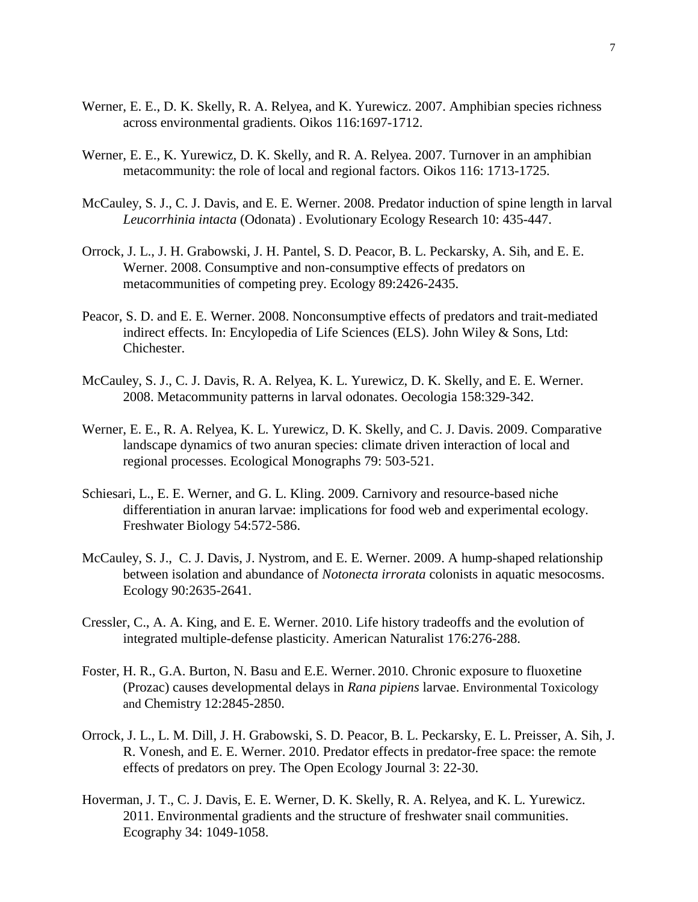- Werner, E. E., D. K. Skelly, R. A. Relyea, and K. Yurewicz. 2007. Amphibian species richness across environmental gradients. Oikos 116:1697-1712.
- Werner, E. E., K. Yurewicz, D. K. Skelly, and R. A. Relyea. 2007. Turnover in an amphibian metacommunity: the role of local and regional factors. Oikos 116: 1713-1725.
- McCauley, S. J., C. J. Davis, and E. E. Werner. 2008. Predator induction of spine length in larval *Leucorrhinia intacta* (Odonata) . Evolutionary Ecology Research 10: 435-447.
- Orrock, J. L., J. H. Grabowski, J. H. Pantel, S. D. Peacor, B. L. Peckarsky, A. Sih, and E. E. Werner. 2008. Consumptive and non-consumptive effects of predators on metacommunities of competing prey. Ecology 89:2426-2435.
- Peacor, S. D. and E. E. Werner. 2008. Nonconsumptive effects of predators and trait-mediated indirect effects. In: Encylopedia of Life Sciences (ELS). John Wiley & Sons, Ltd: Chichester.
- McCauley, S. J., C. J. Davis, R. A. Relyea, K. L. Yurewicz, D. K. Skelly, and E. E. Werner. 2008. Metacommunity patterns in larval odonates. Oecologia 158:329-342.
- Werner, E. E., R. A. Relyea, K. L. Yurewicz, D. K. Skelly, and C. J. Davis. 2009. Comparative landscape dynamics of two anuran species: climate driven interaction of local and regional processes. Ecological Monographs 79: 503-521.
- Schiesari, L., E. E. Werner, and G. L. Kling. 2009. Carnivory and resource-based niche differentiation in anuran larvae: implications for food web and experimental ecology. Freshwater Biology 54:572-586.
- McCauley, S. J., C. J. Davis, J. Nystrom, and E. E. Werner. 2009. A hump-shaped relationship between isolation and abundance of *Notonecta irrorata* colonists in aquatic mesocosms. Ecology 90:2635-2641.
- Cressler, C., A. A. King, and E. E. Werner. 2010. Life history tradeoffs and the evolution of integrated multiple-defense plasticity. American Naturalist 176:276-288.
- Foster, H. R., G.A. Burton, N. Basu and E.E. Werner. 2010. Chronic exposure to fluoxetine (Prozac) causes developmental delays in *Rana pipiens* larvae. Environmental Toxicology and Chemistry 12:2845-2850.
- Orrock, J. L., L. M. Dill, J. H. Grabowski, S. D. Peacor, B. L. Peckarsky, E. L. Preisser, A. Sih, J. R. Vonesh, and E. E. Werner. 2010. Predator effects in predator-free space: the remote effects of predators on prey. The Open Ecology Journal 3: 22-30.
- Hoverman, J. T., C. J. Davis, E. E. Werner, D. K. Skelly, R. A. Relyea, and K. L. Yurewicz. 2011. Environmental gradients and the structure of freshwater snail communities. Ecography 34: 1049-1058.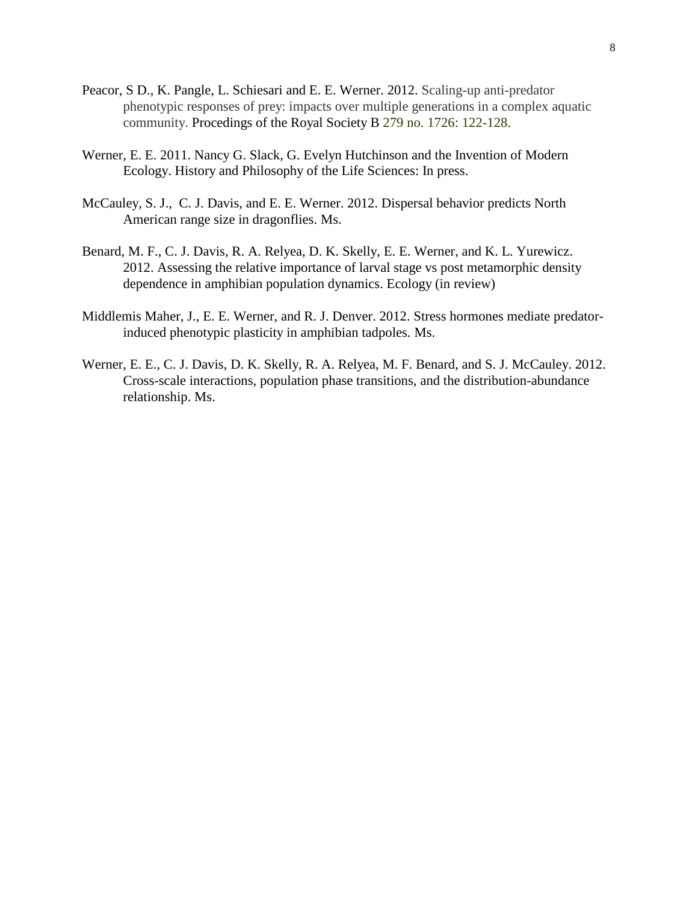- Peacor, S D., K. Pangle, L. Schiesari and E. E. Werner. 2012. Scaling-up anti-predator phenotypic responses of prey: impacts over multiple generations in a complex aquatic community. Procedings of the Royal Society B 279 no. 1726: 122-128.
- Werner, E. E. 2011. Nancy G. Slack, G. Evelyn Hutchinson and the Invention of Modern Ecology. History and Philosophy of the Life Sciences: In press.
- McCauley, S. J., C. J. Davis, and E. E. Werner. 2012. Dispersal behavior predicts North American range size in dragonflies. Ms.
- Benard, M. F., C. J. Davis, R. A. Relyea, D. K. Skelly, E. E. Werner, and K. L. Yurewicz. 2012. Assessing the relative importance of larval stage vs post metamorphic density dependence in amphibian population dynamics. Ecology (in review)
- Middlemis Maher, J., E. E. Werner, and R. J. Denver. 2012. Stress hormones mediate predatorinduced phenotypic plasticity in amphibian tadpoles*.* Ms.
- Werner, E. E., C. J. Davis, D. K. Skelly, R. A. Relyea, M. F. Benard, and S. J. McCauley. 2012. Cross-scale interactions, population phase transitions, and the distribution-abundance relationship. Ms.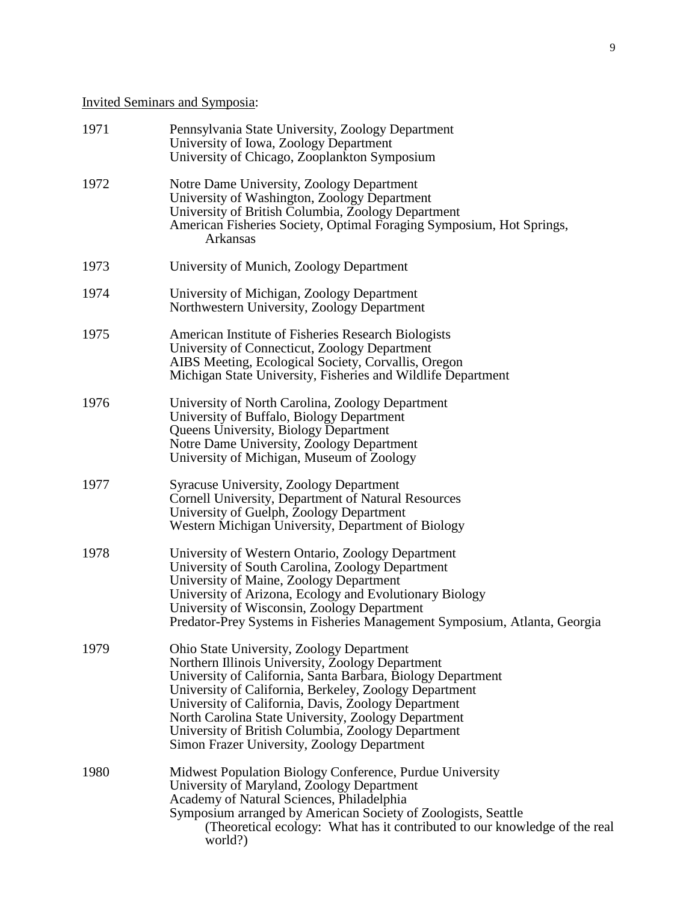# Invited Seminars and Symposia:

| 1971 | Pennsylvania State University, Zoology Department<br>University of Iowa, Zoology Department<br>University of Chicago, Zooplankton Symposium                                                                                                                                                                                                                                                                                               |
|------|-------------------------------------------------------------------------------------------------------------------------------------------------------------------------------------------------------------------------------------------------------------------------------------------------------------------------------------------------------------------------------------------------------------------------------------------|
| 1972 | Notre Dame University, Zoology Department<br>University of Washington, Zoology Department<br>University of British Columbia, Zoology Department<br>American Fisheries Society, Optimal Foraging Symposium, Hot Springs,<br>Arkansas                                                                                                                                                                                                       |
| 1973 | University of Munich, Zoology Department                                                                                                                                                                                                                                                                                                                                                                                                  |
| 1974 | University of Michigan, Zoology Department<br>Northwestern University, Zoology Department                                                                                                                                                                                                                                                                                                                                                 |
| 1975 | American Institute of Fisheries Research Biologists<br>University of Connecticut, Zoology Department<br>AIBS Meeting, Ecological Society, Corvallis, Oregon<br>Michigan State University, Fisheries and Wildlife Department                                                                                                                                                                                                               |
| 1976 | University of North Carolina, Zoology Department<br>University of Buffalo, Biology Department<br><b>Queens University, Biology Department</b><br>Notre Dame University, Zoology Department<br>University of Michigan, Museum of Zoology                                                                                                                                                                                                   |
| 1977 | Syracuse University, Zoology Department<br>Cornell University, Department of Natural Resources<br>University of Guelph, Zoology Department<br>Western Michigan University, Department of Biology                                                                                                                                                                                                                                          |
| 1978 | University of Western Ontario, Zoology Department<br>University of South Carolina, Zoology Department<br>University of Maine, Zoology Department<br>University of Arizona, Ecology and Evolutionary Biology<br>University of Wisconsin, Zoology Department<br>Predator-Prey Systems in Fisheries Management Symposium, Atlanta, Georgia                                                                                                   |
| 1979 | Ohio State University, Zoology Department<br>Northern Illinois University, Zoology Department<br>University of California, Santa Barbara, Biology Department<br>University of California, Berkeley, Zoology Department<br>University of California, Davis, Zoology Department<br>North Carolina State University, Zoology Department<br>University of British Columbia, Zoology Department<br>Simon Frazer University, Zoology Department |
| 1980 | Midwest Population Biology Conference, Purdue University<br>University of Maryland, Zoology Department<br>Academy of Natural Sciences, Philadelphia<br>Symposium arranged by American Society of Zoologists, Seattle<br>(Theoretical ecology: What has it contributed to our knowledge of the real<br>world?)                                                                                                                             |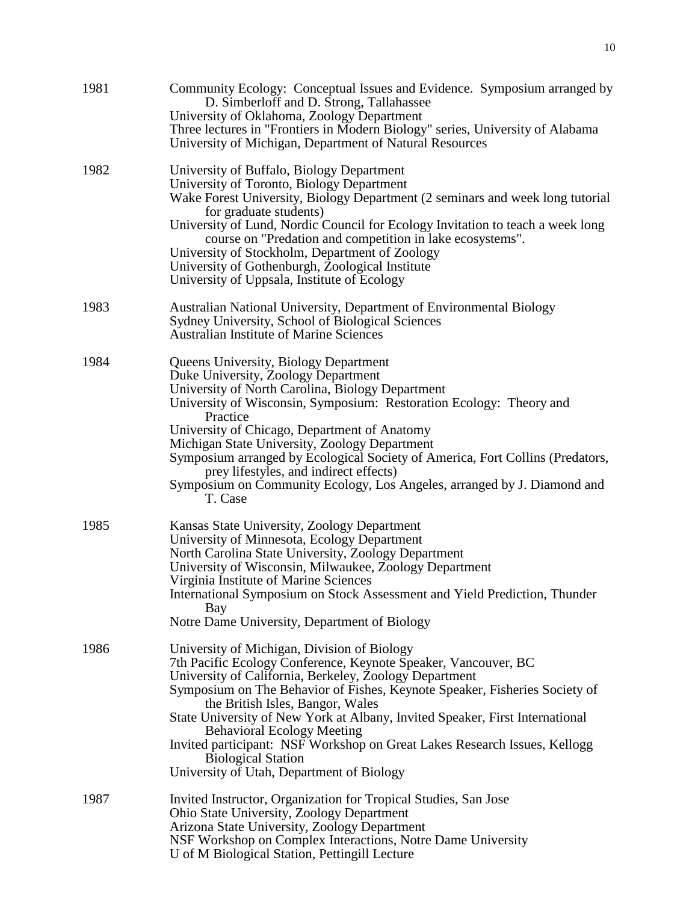|      | D. Simberloff and D. Strong, Tallahassee<br>University of Oklahoma, Zoology Department<br>Three lectures in "Frontiers in Modern Biology" series, University of Alabama<br>University of Michigan, Department of Natural Resources                                                                                                                                                                                                                                                                                                                                    |
|------|-----------------------------------------------------------------------------------------------------------------------------------------------------------------------------------------------------------------------------------------------------------------------------------------------------------------------------------------------------------------------------------------------------------------------------------------------------------------------------------------------------------------------------------------------------------------------|
| 1982 | University of Buffalo, Biology Department<br>University of Toronto, Biology Department<br>Wake Forest University, Biology Department (2 seminars and week long tutorial<br>for graduate students)<br>University of Lund, Nordic Council for Ecology Invitation to teach a week long<br>course on "Predation and competition in lake ecosystems".<br>University of Stockholm, Department of Zoology<br>University of Gothenburgh, Zoological Institute<br>University of Uppsala, Institute of Ecology                                                                  |
| 1983 | Australian National University, Department of Environmental Biology<br>Sydney University, School of Biological Sciences<br><b>Australian Institute of Marine Sciences</b>                                                                                                                                                                                                                                                                                                                                                                                             |
| 1984 | <b>Queens University, Biology Department</b><br>Duke University, Zoology Department<br>University of North Carolina, Biology Department<br>University of Wisconsin, Symposium: Restoration Ecology: Theory and<br>Practice<br>University of Chicago, Department of Anatomy<br>Michigan State University, Zoology Department<br>Symposium arranged by Ecological Society of America, Fort Collins (Predators,<br>prey lifestyles, and indirect effects)<br>Symposium on Community Ecology, Los Angeles, arranged by J. Diamond and<br>T. Case                          |
| 1985 | Kansas State University, Zoology Department<br>University of Minnesota, Ecology Department<br>North Carolina State University, Zoology Department<br>University of Wisconsin, Milwaukee, Zoology Department<br>Virginia Institute of Marine Sciences<br>International Symposium on Stock Assessment and Yield Prediction, Thunder<br>Bay<br>Notre Dame University, Department of Biology                                                                                                                                                                              |
| 1986 | University of Michigan, Division of Biology<br>7th Pacific Ecology Conference, Keynote Speaker, Vancouver, BC<br>University of California, Berkeley, Zoology Department<br>Symposium on The Behavior of Fishes, Keynote Speaker, Fisheries Society of<br>the British Isles, Bangor, Wales<br>State University of New York at Albany, Invited Speaker, First International<br><b>Behavioral Ecology Meeting</b><br>Invited participant: NSF Workshop on Great Lakes Research Issues, Kellogg<br><b>Biological Station</b><br>University of Utah, Department of Biology |
| 1987 | Invited Instructor, Organization for Tropical Studies, San Jose<br><b>Ohio State University, Zoology Department</b><br>Arizona State University, Zoology Department<br>NSF Workshop on Complex Interactions, Notre Dame University<br>U of M Biological Station, Pettingill Lecture                                                                                                                                                                                                                                                                                   |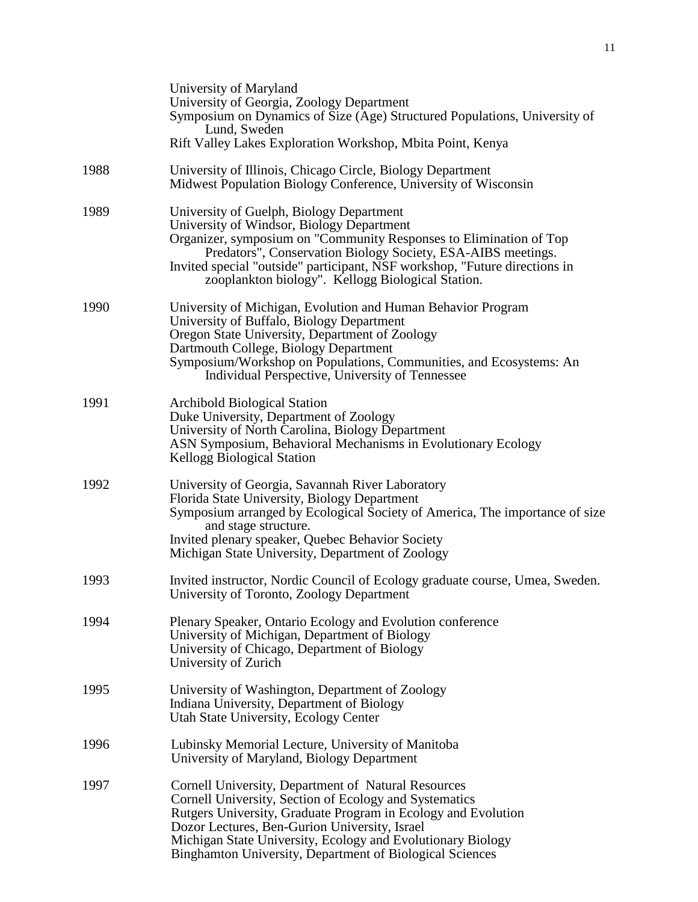|      | University of Maryland<br>University of Georgia, Zoology Department<br>Symposium on Dynamics of Size (Age) Structured Populations, University of<br>Lund, Sweden<br>Rift Valley Lakes Exploration Workshop, Mbita Point, Kenya                                                                                                                                 |
|------|----------------------------------------------------------------------------------------------------------------------------------------------------------------------------------------------------------------------------------------------------------------------------------------------------------------------------------------------------------------|
| 1988 | University of Illinois, Chicago Circle, Biology Department<br>Midwest Population Biology Conference, University of Wisconsin                                                                                                                                                                                                                                   |
| 1989 | University of Guelph, Biology Department<br>University of Windsor, Biology Department<br>Organizer, symposium on "Community Responses to Elimination of Top<br>Predators", Conservation Biology Society, ESA-AIBS meetings.<br>Invited special "outside" participant, NSF workshop, "Future directions in<br>zooplankton biology". Kellogg Biological Station. |
| 1990 | University of Michigan, Evolution and Human Behavior Program<br>University of Buffalo, Biology Department<br>Oregon State University, Department of Zoology<br>Dartmouth College, Biology Department<br>Symposium/Workshop on Populations, Communities, and Ecosystems: An<br>Individual Perspective, University of Tennessee                                  |
| 1991 | <b>Archibold Biological Station</b><br>Duke University, Department of Zoology<br>University of North Carolina, Biology Department<br>ASN Symposium, Behavioral Mechanisms in Evolutionary Ecology<br><b>Kellogg Biological Station</b>                                                                                                                         |
| 1992 | University of Georgia, Savannah River Laboratory<br>Florida State University, Biology Department<br>Symposium arranged by Ecological Society of America, The importance of size<br>and stage structure.<br>Invited plenary speaker, Quebec Behavior Society<br>Michigan State University, Department of Zoology                                                |
| 1993 | Invited instructor, Nordic Council of Ecology graduate course, Umea, Sweden.<br>University of Toronto, Zoology Department                                                                                                                                                                                                                                      |
| 1994 | Plenary Speaker, Ontario Ecology and Evolution conference<br>University of Michigan, Department of Biology<br>University of Chicago, Department of Biology<br>University of Zurich                                                                                                                                                                             |
| 1995 | University of Washington, Department of Zoology<br>Indiana University, Department of Biology<br>Utah State University, Ecology Center                                                                                                                                                                                                                          |
| 1996 | Lubinsky Memorial Lecture, University of Manitoba<br>University of Maryland, Biology Department                                                                                                                                                                                                                                                                |
| 1997 | Cornell University, Department of Natural Resources<br>Cornell University, Section of Ecology and Systematics<br>Rutgers University, Graduate Program in Ecology and Evolution<br>Dozor Lectures, Ben-Gurion University, Israel<br>Michigan State University, Ecology and Evolutionary Biology<br>Binghamton University, Department of Biological Sciences     |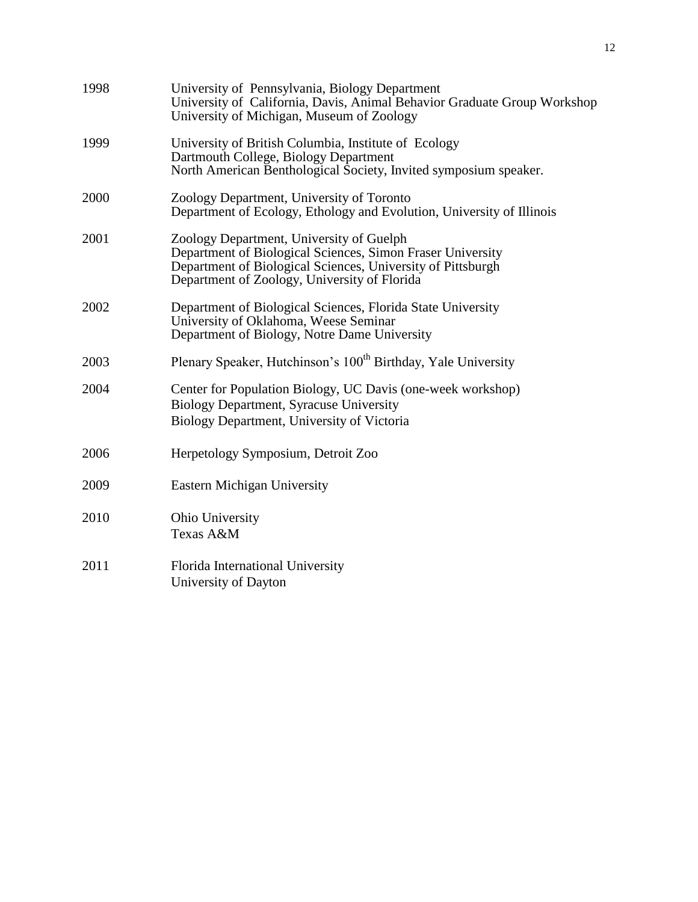| 1998 | University of Pennsylvania, Biology Department<br>University of California, Davis, Animal Behavior Graduate Group Workshop<br>University of Michigan, Museum of Zoology                                               |
|------|-----------------------------------------------------------------------------------------------------------------------------------------------------------------------------------------------------------------------|
| 1999 | University of British Columbia, Institute of Ecology<br>Dartmouth College, Biology Department<br>North American Benthological Society, Invited symposium speaker.                                                     |
| 2000 | Zoology Department, University of Toronto<br>Department of Ecology, Ethology and Evolution, University of Illinois                                                                                                    |
| 2001 | Zoology Department, University of Guelph<br>Department of Biological Sciences, Simon Fraser University<br>Department of Biological Sciences, University of Pittsburgh<br>Department of Zoology, University of Florida |
| 2002 | Department of Biological Sciences, Florida State University<br>University of Oklahoma, Weese Seminar<br>Department of Biology, Notre Dame University                                                                  |
| 2003 | Plenary Speaker, Hutchinson's 100 <sup>th</sup> Birthday, Yale University                                                                                                                                             |
| 2004 | Center for Population Biology, UC Davis (one-week workshop)<br>Biology Department, Syracuse University<br>Biology Department, University of Victoria                                                                  |
| 2006 | Herpetology Symposium, Detroit Zoo                                                                                                                                                                                    |
| 2009 | <b>Eastern Michigan University</b>                                                                                                                                                                                    |
| 2010 | Ohio University<br>Texas A&M                                                                                                                                                                                          |
| 2011 | Florida International University<br>University of Dayton                                                                                                                                                              |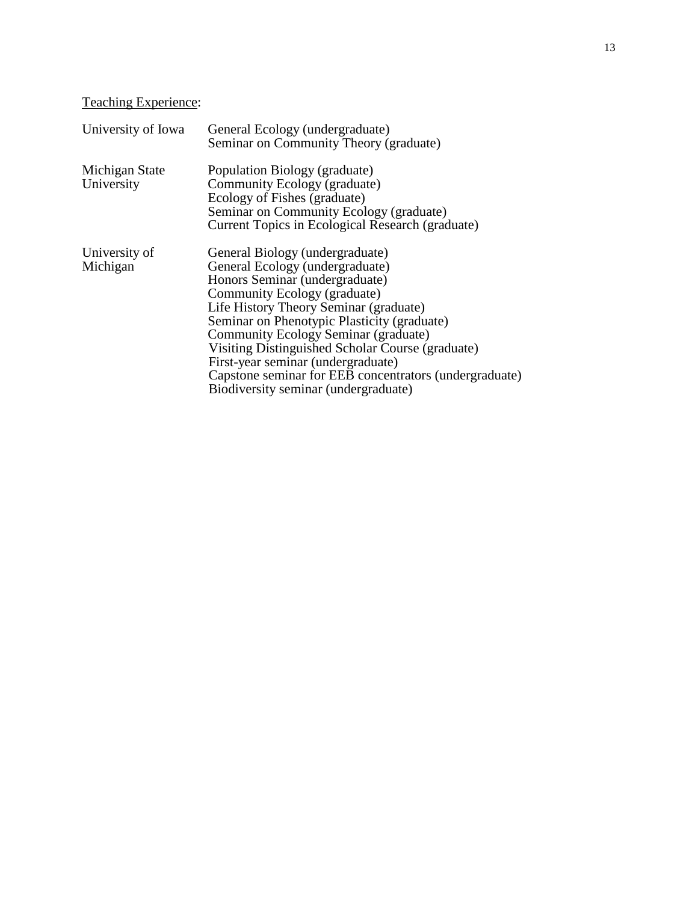# Teaching Experience:

| University of Iowa           | General Ecology (undergraduate)<br>Seminar on Community Theory (graduate)                                                                                                                                                                                                                                                                                                                                                                                         |
|------------------------------|-------------------------------------------------------------------------------------------------------------------------------------------------------------------------------------------------------------------------------------------------------------------------------------------------------------------------------------------------------------------------------------------------------------------------------------------------------------------|
| Michigan State<br>University | Population Biology (graduate)<br>Community Ecology (graduate)<br>Ecology of Fishes (graduate)<br>Seminar on Community Ecology (graduate)<br>Current Topics in Ecological Research (graduate)                                                                                                                                                                                                                                                                      |
| University of<br>Michigan    | General Biology (undergraduate)<br>General Ecology (undergraduate)<br>Honors Seminar (undergraduate)<br>Community Ecology (graduate)<br>Life History Theory Seminar (graduate)<br>Seminar on Phenotypic Plasticity (graduate)<br>Community Ecology Seminar (graduate)<br>Visiting Distinguished Scholar Course (graduate)<br>First-year seminar (undergraduate)<br>Capstone seminar for EEB concentrators (undergraduate)<br>Biodiversity seminar (undergraduate) |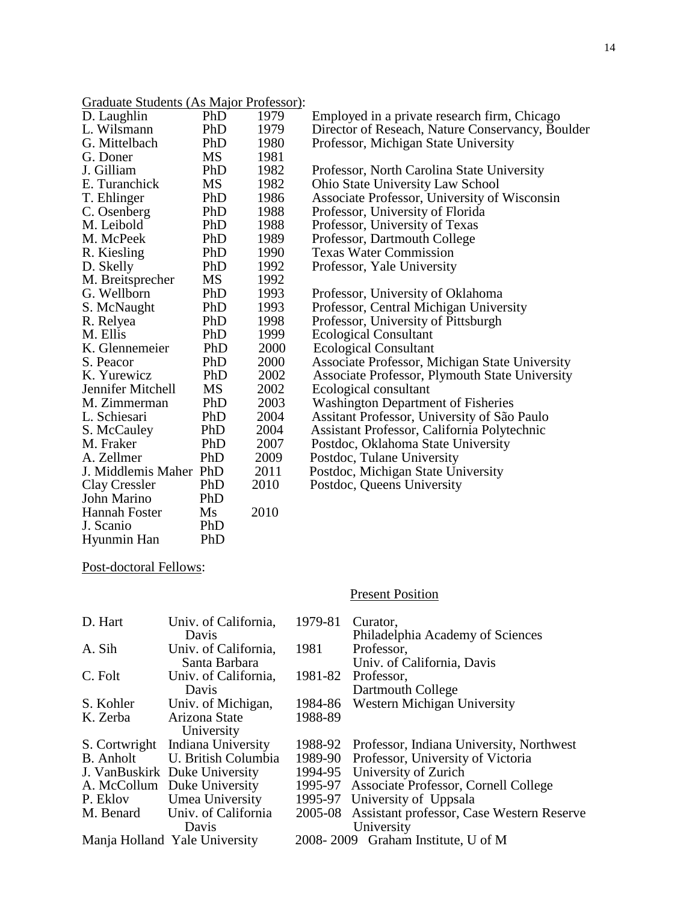| Graduate Students (As Major Professor): |
|-----------------------------------------|
|-----------------------------------------|

| D. Laughlin            | PhD       | 1979 | Employed in a private research firm, Chicago     |
|------------------------|-----------|------|--------------------------------------------------|
| L. Wilsmann            | PhD       | 1979 | Director of Reseach, Nature Conservancy, Boulder |
| G. Mittelbach          | PhD       | 1980 | Professor, Michigan State University             |
| G. Doner               | <b>MS</b> | 1981 |                                                  |
| J. Gilliam             | PhD       | 1982 | Professor, North Carolina State University       |
| E. Turanchick          | <b>MS</b> | 1982 | Ohio State University Law School                 |
| T. Ehlinger            | PhD       | 1986 | Associate Professor, University of Wisconsin     |
| C. Osenberg            | PhD       | 1988 | Professor, University of Florida                 |
| M. Leibold             | PhD       | 1988 | Professor, University of Texas                   |
| M. McPeek              | PhD       | 1989 | Professor, Dartmouth College                     |
| R. Kiesling            | PhD       | 1990 | <b>Texas Water Commission</b>                    |
| D. Skelly              | PhD       | 1992 | Professor, Yale University                       |
| M. Breitsprecher       | MS        | 1992 |                                                  |
| G. Wellborn            | PhD       | 1993 | Professor, University of Oklahoma                |
| S. McNaught            | PhD       | 1993 | Professor, Central Michigan University           |
| R. Relyea              | PhD       | 1998 | Professor, University of Pittsburgh              |
| M. Ellis               | PhD       | 1999 | <b>Ecological Consultant</b>                     |
| K. Glennemeier         | PhD       | 2000 | <b>Ecological Consultant</b>                     |
| S. Peacor              | PhD       | 2000 | Associate Professor, Michigan State University   |
| K. Yurewicz            | PhD       | 2002 | Associate Professor, Plymouth State University   |
| Jennifer Mitchell      | MS        | 2002 | Ecological consultant                            |
| M. Zimmerman           | PhD       | 2003 | <b>Washington Department of Fisheries</b>        |
| L. Schiesari           | PhD       | 2004 | Assitant Professor, University of São Paulo      |
| S. McCauley            | PhD       | 2004 | Assistant Professor, California Polytechnic      |
| M. Fraker              | PhD       | 2007 | Postdoc, Oklahoma State University               |
| A. Zellmer             | PhD       | 2009 | Postdoc, Tulane University                       |
| J. Middlemis Maher PhD |           | 2011 | Postdoc, Michigan State University               |
| Clay Cressler          | PhD       | 2010 | Postdoc, Queens University                       |
| John Marino            | PhD       |      |                                                  |
| Hannah Foster          | Ms        | 2010 |                                                  |
| J. Scanio              | PhD       |      |                                                  |
| Hyunmin Han            | PhD       |      |                                                  |

# Post-doctoral Fellows:

# **Present Position**

| D. Hart             | Univ. of California,             | 1979-81 | Curator.                                         |  |
|---------------------|----------------------------------|---------|--------------------------------------------------|--|
|                     | Davis                            |         | Philadelphia Academy of Sciences                 |  |
| A. Sih              | Univ. of California,             | 1981    | Professor,                                       |  |
|                     | Santa Barbara                    |         | Univ. of California, Davis                       |  |
| C. Folt             | Univ. of California,             | 1981-82 | Professor,                                       |  |
|                     | Davis                            |         | Dartmouth College                                |  |
| S. Kohler           | Univ. of Michigan,               | 1984-86 | Western Michigan University                      |  |
| K. Zerba            | Arizona State                    | 1988-89 |                                                  |  |
|                     | University                       |         |                                                  |  |
|                     | S. Cortwright Indiana University |         | 1988-92 Professor, Indiana University, Northwest |  |
| <b>B.</b> Anholt    | U. British Columbia              |         | 1989-90 Professor, University of Victoria        |  |
|                     | J. VanBuskirk Duke University    |         | 1994-95 University of Zurich                     |  |
|                     | A. McCollum Duke University      |         | 1995-97 Associate Professor, Cornell College     |  |
| P. Eklov            | Umea University                  |         | 1995-97 University of Uppsala                    |  |
| M. Benard           | Univ. of California              | 2005-08 | Assistant professor, Case Western Reserve        |  |
| University<br>Davis |                                  |         |                                                  |  |
|                     | Manja Holland Yale University    |         | 2008-2009 Graham Institute, U of M               |  |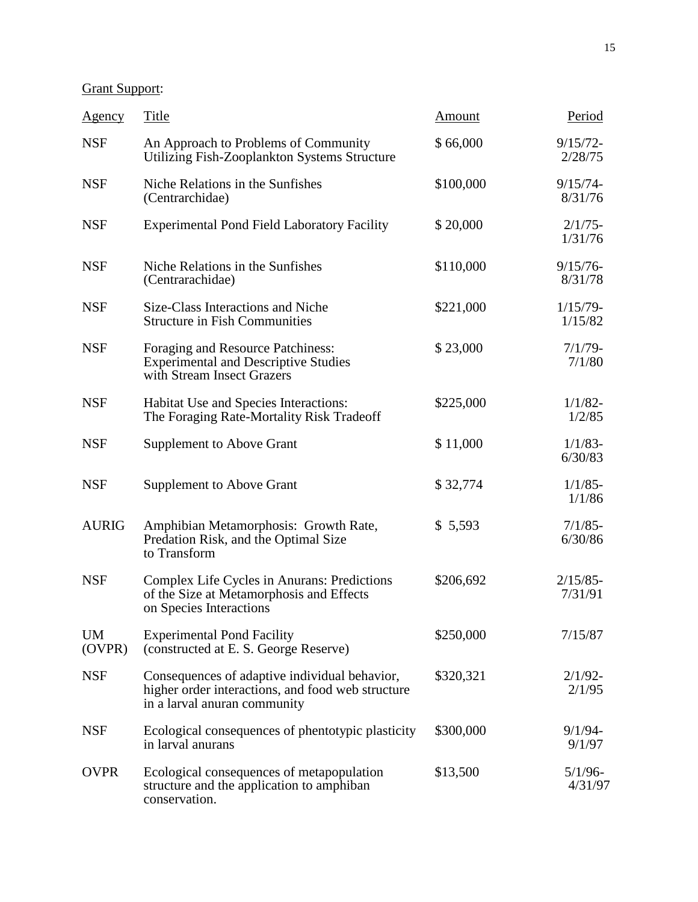Grant Support:

| <u>Agency</u>       | <b>Title</b>                                                                                                                       | <b>Amount</b> | Period                 |
|---------------------|------------------------------------------------------------------------------------------------------------------------------------|---------------|------------------------|
| <b>NSF</b>          | An Approach to Problems of Community<br>Utilizing Fish-Zooplankton Systems Structure                                               | \$66,000      | $9/15/72-$<br>2/28/75  |
| <b>NSF</b>          | Niche Relations in the Sunfishes<br>(Centrarchidae)                                                                                | \$100,000     | $9/15/74$ -<br>8/31/76 |
| <b>NSF</b>          | <b>Experimental Pond Field Laboratory Facility</b>                                                                                 | \$20,000      | $2/1/75$ -<br>1/31/76  |
| <b>NSF</b>          | Niche Relations in the Sunfishes<br>(Centrarachidae)                                                                               | \$110,000     | $9/15/76$ -<br>8/31/78 |
| <b>NSF</b>          | Size-Class Interactions and Niche<br><b>Structure in Fish Communities</b>                                                          | \$221,000     | $1/15/79$ -<br>1/15/82 |
| <b>NSF</b>          | Foraging and Resource Patchiness:<br><b>Experimental and Descriptive Studies</b><br>with Stream Insect Grazers                     | \$23,000      | $7/1/79$ -<br>7/1/80   |
| <b>NSF</b>          | Habitat Use and Species Interactions:<br>The Foraging Rate-Mortality Risk Tradeoff                                                 | \$225,000     | $1/1/82 -$<br>1/2/85   |
| <b>NSF</b>          | <b>Supplement to Above Grant</b>                                                                                                   | \$11,000      | $1/1/83$ -<br>6/30/83  |
| <b>NSF</b>          | <b>Supplement to Above Grant</b>                                                                                                   | \$32,774      | $1/1/85$ -<br>1/1/86   |
| <b>AURIG</b>        | Amphibian Metamorphosis: Growth Rate,<br>Predation Risk, and the Optimal Size<br>to Transform                                      | \$5,593       | $7/1/85$ -<br>6/30/86  |
| <b>NSF</b>          | Complex Life Cycles in Anurans: Predictions<br>of the Size at Metamorphosis and Effects<br>on Species Interactions                 | \$206,692     | $2/15/85$ -<br>7/31/91 |
| <b>UM</b><br>(OVPR) | <b>Experimental Pond Facility</b><br>(constructed at E. S. George Reserve)                                                         | \$250,000     | 7/15/87                |
| <b>NSF</b>          | Consequences of adaptive individual behavior,<br>higher order interactions, and food web structure<br>in a larval anuran community | \$320,321     | $2/1/92$ -<br>2/1/95   |
| <b>NSF</b>          | Ecological consequences of phentotypic plasticity<br>in larval anurans                                                             | \$300,000     | $9/1/94$ -<br>9/1/97   |
| <b>OVPR</b>         | Ecological consequences of metapopulation<br>structure and the application to amphiban<br>conservation.                            | \$13,500      | $5/1/96$ -<br>4/31/97  |